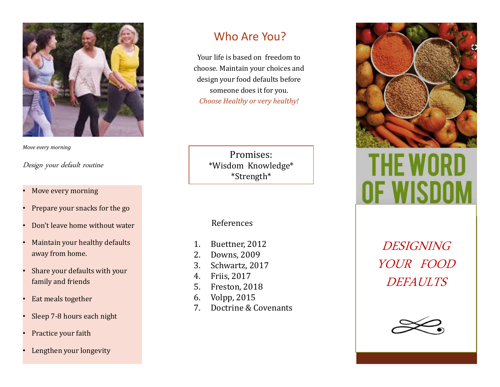

*Move every morning*

### Design your default routine

- Move every morning
- Prepare your snacks for the go
- Don't leave home without water
- Maintain your healthy defaults away from home.
- Share your defaults with your family and friends
- Eat meals together
- Sleep 7-8 hours each night
- Practice your faith
- Lengthen your longevity

# Who Are You?

Your life is based on freedom to choose. Maintain your choices and design your food defaults before someone does it for you. *Choose Healthy or very healthy!*

> Promises: \*Wisdom Knowledge\* \*Strength\*

References

- 1. Buettner, 2012
- 2. Downs, 2009
- 3. Schwartz, 2017
- 4. Friis, 2017
- 5. Freston, 2018
- 6. Volpp, 2015
- 7. Doctrine & Covenants



DESIGNING YOUR FOOD DEFAULTS